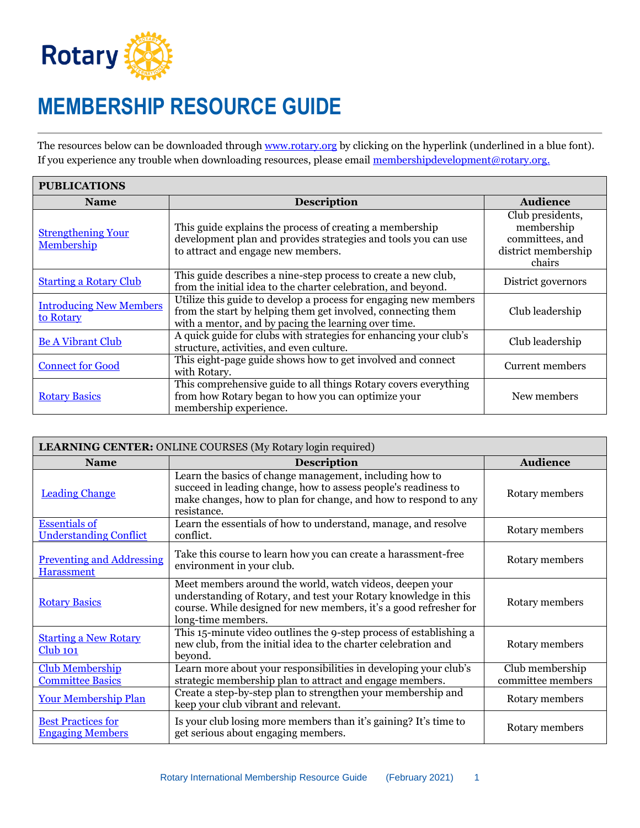

Ē

## **MEMBERSHIP RESOURCE GUIDE**

The resources below can be downloaded through [www.rotary.org](http://www.rotary.org/) by clicking on the hyperlink (underlined in a blue font). If you experience any trouble when downloading resources, please email [membershipdevelopment@rotary.org.](mailto:membershipdevelopment@rotary.org)

| <b>PUBLICATIONS</b>                         |                                                                                                                                                                                          |                                                                                    |  |
|---------------------------------------------|------------------------------------------------------------------------------------------------------------------------------------------------------------------------------------------|------------------------------------------------------------------------------------|--|
| <b>Name</b>                                 | <b>Description</b>                                                                                                                                                                       | <b>Audience</b>                                                                    |  |
| <b>Strengthening Your</b><br>Membership     | This guide explains the process of creating a membership<br>development plan and provides strategies and tools you can use<br>to attract and engage new members.                         | Club presidents,<br>membership<br>committees, and<br>district membership<br>chairs |  |
| <b>Starting a Rotary Club</b>               | This guide describes a nine-step process to create a new club,<br>from the initial idea to the charter celebration, and beyond.                                                          | District governors                                                                 |  |
| <b>Introducing New Members</b><br>to Rotary | Utilize this guide to develop a process for engaging new members<br>from the start by helping them get involved, connecting them<br>with a mentor, and by pacing the learning over time. | Club leadership                                                                    |  |
| <b>Be A Vibrant Club</b>                    | A quick guide for clubs with strategies for enhancing your club's<br>structure, activities, and even culture.                                                                            | Club leadership                                                                    |  |
| <b>Connect for Good</b>                     | This eight-page guide shows how to get involved and connect<br>with Rotary.                                                                                                              | Current members                                                                    |  |
| <b>Rotary Basics</b>                        | This comprehensive guide to all things Rotary covers everything<br>from how Rotary began to how you can optimize your<br>membership experience.                                          | New members                                                                        |  |

| LEARNING CENTER: ONLINE COURSES (My Rotary login required) |                                                                                                                                                                                                                        |                                      |  |
|------------------------------------------------------------|------------------------------------------------------------------------------------------------------------------------------------------------------------------------------------------------------------------------|--------------------------------------|--|
| <b>Name</b>                                                | <b>Description</b>                                                                                                                                                                                                     | <b>Audience</b>                      |  |
| <b>Leading Change</b>                                      | Learn the basics of change management, including how to<br>succeed in leading change, how to assess people's readiness to<br>make changes, how to plan for change, and how to respond to any<br>resistance.            | Rotary members                       |  |
| <b>Essentials of</b><br><b>Understanding Conflict</b>      | Learn the essentials of how to understand, manage, and resolve<br>conflict.                                                                                                                                            | Rotary members                       |  |
| <b>Preventing and Addressing</b><br><b>Harassment</b>      | Take this course to learn how you can create a harassment-free<br>environment in your club.                                                                                                                            | Rotary members                       |  |
| <b>Rotary Basics</b>                                       | Meet members around the world, watch videos, deepen your<br>understanding of Rotary, and test your Rotary knowledge in this<br>course. While designed for new members, it's a good refresher for<br>long-time members. | Rotary members                       |  |
| <b>Starting a New Rotary</b><br>$Club$ 101                 | This 15-minute video outlines the 9-step process of establishing a<br>new club, from the initial idea to the charter celebration and<br>beyond.                                                                        | Rotary members                       |  |
| <b>Club Membership</b><br><b>Committee Basics</b>          | Learn more about your responsibilities in developing your club's<br>strategic membership plan to attract and engage members.                                                                                           | Club membership<br>committee members |  |
| <b>Your Membership Plan</b>                                | Create a step-by-step plan to strengthen your membership and<br>keep your club vibrant and relevant.                                                                                                                   | Rotary members                       |  |
| <b>Best Practices for</b><br><b>Engaging Members</b>       | Is your club losing more members than it's gaining? It's time to<br>get serious about engaging members.                                                                                                                | Rotary members                       |  |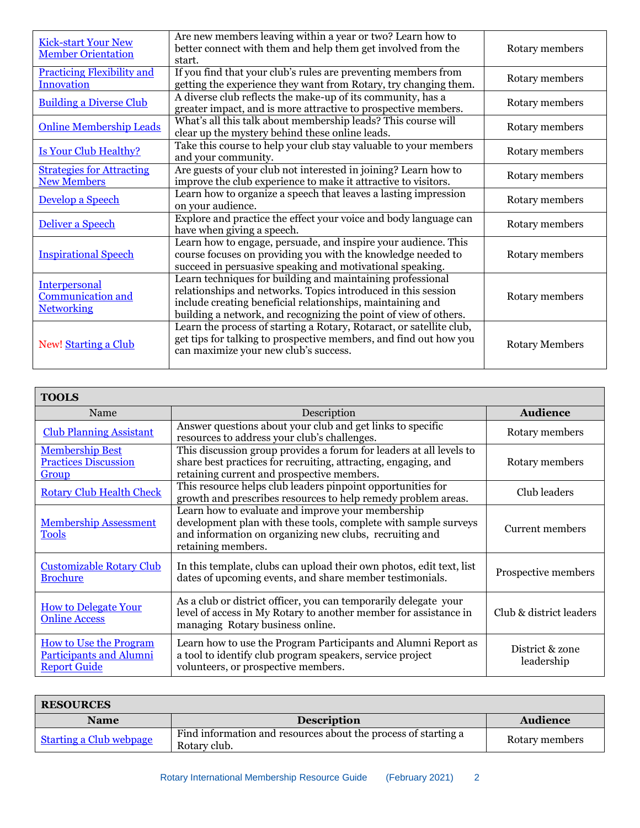| <b>Kick-start Your New</b><br><b>Member Orientation</b>               | Are new members leaving within a year or two? Learn how to<br>better connect with them and help them get involved from the<br>start.                                                                                                                          | Rotary members        |
|-----------------------------------------------------------------------|---------------------------------------------------------------------------------------------------------------------------------------------------------------------------------------------------------------------------------------------------------------|-----------------------|
| <b>Practicing Flexibility and</b><br><b>Innovation</b>                | If you find that your club's rules are preventing members from<br>getting the experience they want from Rotary, try changing them.                                                                                                                            | Rotary members        |
| <b>Building a Diverse Club</b>                                        | A diverse club reflects the make-up of its community, has a<br>greater impact, and is more attractive to prospective members.                                                                                                                                 | Rotary members        |
| <b>Online Membership Leads</b>                                        | What's all this talk about membership leads? This course will<br>clear up the mystery behind these online leads.                                                                                                                                              | Rotary members        |
| <b>Is Your Club Healthy?</b>                                          | Take this course to help your club stay valuable to your members<br>and your community.                                                                                                                                                                       | Rotary members        |
| <b>Strategies for Attracting</b><br><b>New Members</b>                | Are guests of your club not interested in joining? Learn how to<br>improve the club experience to make it attractive to visitors.                                                                                                                             | Rotary members        |
| Develop a Speech                                                      | Learn how to organize a speech that leaves a lasting impression<br>on your audience.                                                                                                                                                                          | Rotary members        |
| Deliver a Speech                                                      | Explore and practice the effect your voice and body language can<br>have when giving a speech.                                                                                                                                                                | Rotary members        |
| <b>Inspirational Speech</b>                                           | Learn how to engage, persuade, and inspire your audience. This<br>course focuses on providing you with the knowledge needed to<br>succeed in persuasive speaking and motivational speaking.                                                                   | Rotary members        |
| <b>Interpersonal</b><br><b>Communication and</b><br><b>Networking</b> | Learn techniques for building and maintaining professional<br>relationships and networks. Topics introduced in this session<br>include creating beneficial relationships, maintaining and<br>building a network, and recognizing the point of view of others. | Rotary members        |
| New! Starting a Club                                                  | Learn the process of starting a Rotary, Rotaract, or satellite club,<br>get tips for talking to prospective members, and find out how you<br>can maximize your new club's success.                                                                            | <b>Rotary Members</b> |

| <b>TOOLS</b>                                                                           |                                                                                                                                                                                                       |                               |  |
|----------------------------------------------------------------------------------------|-------------------------------------------------------------------------------------------------------------------------------------------------------------------------------------------------------|-------------------------------|--|
| Name                                                                                   | Description                                                                                                                                                                                           | <b>Audience</b>               |  |
| <b>Club Planning Assistant</b>                                                         | Answer questions about your club and get links to specific<br>resources to address your club's challenges.                                                                                            | Rotary members                |  |
| <b>Membership Best</b><br><b>Practices Discussion</b><br>Group                         | This discussion group provides a forum for leaders at all levels to<br>share best practices for recruiting, attracting, engaging, and<br>retaining current and prospective members.                   | Rotary members                |  |
| <b>Rotary Club Health Check</b>                                                        | This resource helps club leaders pinpoint opportunities for<br>growth and prescribes resources to help remedy problem areas.                                                                          | Club leaders                  |  |
| <b>Membership Assessment</b><br><b>Tools</b>                                           | Learn how to evaluate and improve your membership<br>development plan with these tools, complete with sample surveys<br>and information on organizing new clubs, recruiting and<br>retaining members. | Current members               |  |
| <b>Customizable Rotary Club</b><br><b>Brochure</b>                                     | In this template, clubs can upload their own photos, edit text, list<br>dates of upcoming events, and share member testimonials.                                                                      | Prospective members           |  |
| <b>How to Delegate Your</b><br><b>Online Access</b>                                    | As a club or district officer, you can temporarily delegate your<br>level of access in My Rotary to another member for assistance in<br>managing Rotary business online.                              | Club & district leaders       |  |
| <b>How to Use the Program</b><br><b>Participants and Alumni</b><br><b>Report Guide</b> | Learn how to use the Program Participants and Alumni Report as<br>a tool to identify club program speakers, service project<br>volunteers, or prospective members.                                    | District & zone<br>leadership |  |

| <b>RESOURCES</b>               |                                                                                |                 |
|--------------------------------|--------------------------------------------------------------------------------|-----------------|
| <b>Name</b>                    | <b>Description</b>                                                             | <b>Audience</b> |
| <b>Starting a Club webpage</b> | Find information and resources about the process of starting a<br>Rotary club. | Rotary members  |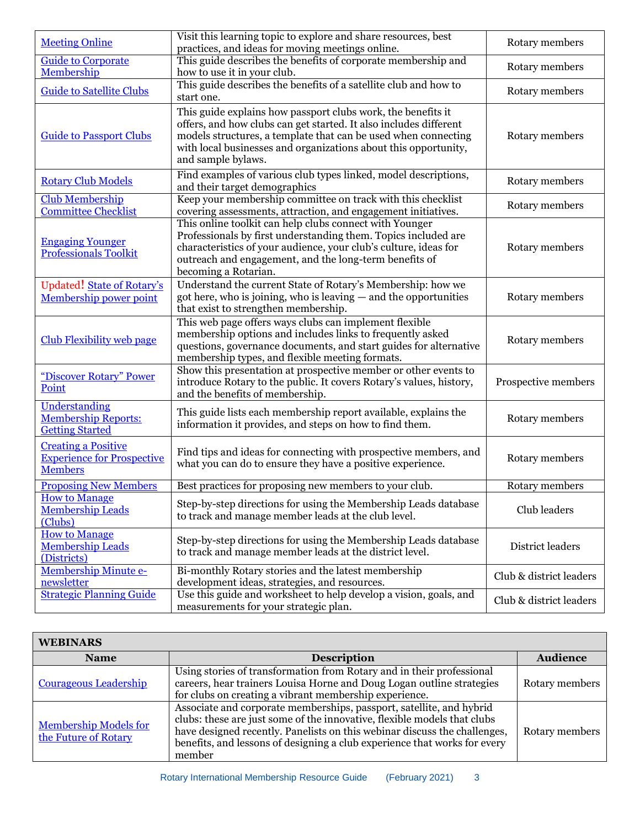| <b>Meeting Online</b>                                                             | Visit this learning topic to explore and share resources, best<br>practices, and ideas for moving meetings online.                                                                                                                                                                           | Rotary members          |
|-----------------------------------------------------------------------------------|----------------------------------------------------------------------------------------------------------------------------------------------------------------------------------------------------------------------------------------------------------------------------------------------|-------------------------|
| <b>Guide to Corporate</b><br>Membership                                           | This guide describes the benefits of corporate membership and<br>how to use it in your club.                                                                                                                                                                                                 | Rotary members          |
| <b>Guide to Satellite Clubs</b>                                                   | This guide describes the benefits of a satellite club and how to<br>start one.                                                                                                                                                                                                               | Rotary members          |
| <b>Guide to Passport Clubs</b>                                                    | This guide explains how passport clubs work, the benefits it<br>offers, and how clubs can get started. It also includes different<br>models structures, a template that can be used when connecting<br>with local businesses and organizations about this opportunity,<br>and sample bylaws. | Rotary members          |
| <b>Rotary Club Models</b>                                                         | Find examples of various club types linked, model descriptions,<br>and their target demographics                                                                                                                                                                                             | Rotary members          |
| <b>Club Membership</b><br><b>Committee Checklist</b>                              | Keep your membership committee on track with this checklist<br>covering assessments, attraction, and engagement initiatives.                                                                                                                                                                 | Rotary members          |
| <b>Engaging Younger</b><br><b>Professionals Toolkit</b>                           | This online toolkit can help clubs connect with Younger<br>Professionals by first understanding them. Topics included are<br>characteristics of your audience, your club's culture, ideas for<br>outreach and engagement, and the long-term benefits of<br>becoming a Rotarian.              | Rotary members          |
| <b>Updated!</b> State of Rotary's<br>Membership power point                       | Understand the current State of Rotary's Membership: how we<br>got here, who is joining, who is leaving - and the opportunities<br>that exist to strengthen membership.                                                                                                                      | Rotary members          |
| <b>Club Flexibility web page</b>                                                  | This web page offers ways clubs can implement flexible<br>membership options and includes links to frequently asked<br>questions, governance documents, and start guides for alternative<br>membership types, and flexible meeting formats.                                                  | Rotary members          |
| "Discover Rotary" Power<br>Point                                                  | Show this presentation at prospective member or other events to<br>introduce Rotary to the public. It covers Rotary's values, history,<br>and the benefits of membership.                                                                                                                    | Prospective members     |
| Understanding<br><b>Membership Reports:</b><br><b>Getting Started</b>             | This guide lists each membership report available, explains the<br>information it provides, and steps on how to find them.                                                                                                                                                                   | Rotary members          |
| <b>Creating a Positive</b><br><b>Experience for Prospective</b><br><b>Members</b> | Find tips and ideas for connecting with prospective members, and<br>what you can do to ensure they have a positive experience.                                                                                                                                                               | Rotary members          |
| <b>Proposing New Members</b>                                                      | Best practices for proposing new members to your club.                                                                                                                                                                                                                                       | Rotary members          |
| <b>How to Manage</b><br><b>Membership Leads</b><br>(Clubs)                        | Step-by-step directions for using the Membership Leads database<br>to track and manage member leads at the club level.                                                                                                                                                                       | Club leaders            |
| <b>How to Manage</b><br><b>Membership Leads</b><br>(Districts)                    | Step-by-step directions for using the Membership Leads database<br>to track and manage member leads at the district level.                                                                                                                                                                   | District leaders        |
| <b>Membership Minute e-</b><br>newsletter                                         | Bi-monthly Rotary stories and the latest membership<br>development ideas, strategies, and resources.                                                                                                                                                                                         | Club & district leaders |
| <b>Strategic Planning Guide</b>                                                   | Use this guide and worksheet to help develop a vision, goals, and<br>measurements for your strategic plan.                                                                                                                                                                                   | Club & district leaders |

| <b>WEBINARS</b>                                      |                                                                                                                                                                                                                                                                                                                      |                 |
|------------------------------------------------------|----------------------------------------------------------------------------------------------------------------------------------------------------------------------------------------------------------------------------------------------------------------------------------------------------------------------|-----------------|
| <b>Name</b>                                          | <b>Description</b>                                                                                                                                                                                                                                                                                                   | <b>Audience</b> |
| <b>Courageous Leadership</b>                         | Using stories of transformation from Rotary and in their professional<br>careers, hear trainers Louisa Horne and Doug Logan outline strategies<br>for clubs on creating a vibrant membership experience.                                                                                                             | Rotary members  |
| <b>Membership Models for</b><br>the Future of Rotary | Associate and corporate memberships, passport, satellite, and hybrid<br>clubs: these are just some of the innovative, flexible models that clubs<br>have designed recently. Panelists on this webinar discuss the challenges,<br>benefits, and lessons of designing a club experience that works for every<br>member | Rotary members  |